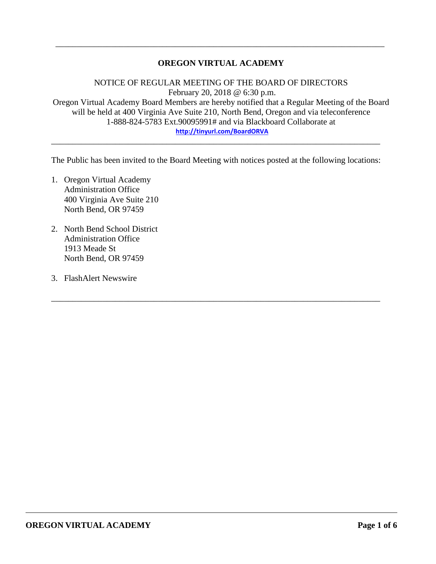## **OREGON VIRTUAL ACADEMY**

\_\_\_\_\_\_\_\_\_\_\_\_\_\_\_\_\_\_\_\_\_\_\_\_\_\_\_\_\_\_\_\_\_\_\_\_\_\_\_\_\_\_\_\_\_\_\_\_\_\_\_\_\_\_\_\_\_\_\_\_\_\_\_\_\_\_\_\_\_\_\_\_\_\_\_\_\_

NOTICE OF REGULAR MEETING OF THE BOARD OF DIRECTORS February 20, 2018 @ 6:30 p.m. Oregon Virtual Academy Board Members are hereby notified that a Regular Meeting of the Board will be held at 400 Virginia Ave Suite 210, North Bend, Oregon and via teleconference 1-888-824-5783 Ext.90095991# and via Blackboard Collaborate at **<http://tinyurl.com/BoardORVA>**

The Public has been invited to the Board Meeting with notices posted at the following locations:

\_\_\_\_\_\_\_\_\_\_\_\_\_\_\_\_\_\_\_\_\_\_\_\_\_\_\_\_\_\_\_\_\_\_\_\_\_\_\_\_\_\_\_\_\_\_\_\_\_\_\_\_\_\_\_\_\_\_\_\_\_\_\_\_\_\_\_\_\_\_\_\_\_\_\_\_\_

\_\_\_\_\_\_\_\_\_\_\_\_\_\_\_\_\_\_\_\_\_\_\_\_\_\_\_\_\_\_\_\_\_\_\_\_\_\_\_\_\_\_\_\_\_\_\_\_\_\_\_\_\_\_\_\_\_\_\_\_\_\_\_\_\_\_\_\_\_\_\_\_\_\_\_\_\_

- 1. Oregon Virtual Academy Administration Office 400 Virginia Ave Suite 210 North Bend, OR 97459
- 2. North Bend School District Administration Office 1913 Meade St North Bend, OR 97459
- 3. FlashAlert Newswire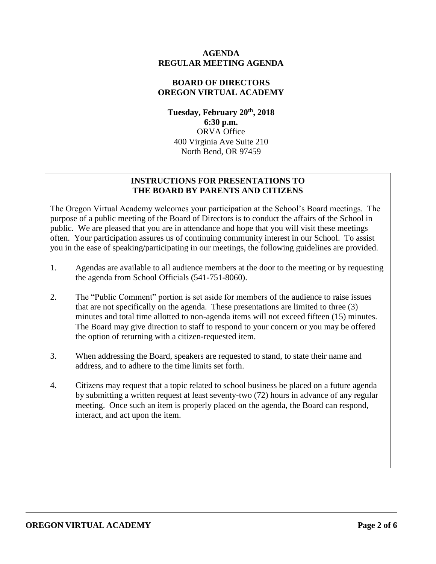#### **AGENDA REGULAR MEETING AGENDA**

## **BOARD OF DIRECTORS OREGON VIRTUAL ACADEMY**

**Tuesday, February 20th , 2018 6:30 p.m.** ORVA Office 400 Virginia Ave Suite 210 North Bend, OR 97459

## **INSTRUCTIONS FOR PRESENTATIONS TO THE BOARD BY PARENTS AND CITIZENS**

The Oregon Virtual Academy welcomes your participation at the School's Board meetings. The purpose of a public meeting of the Board of Directors is to conduct the affairs of the School in public. We are pleased that you are in attendance and hope that you will visit these meetings often. Your participation assures us of continuing community interest in our School. To assist you in the ease of speaking/participating in our meetings, the following guidelines are provided.

- 1. Agendas are available to all audience members at the door to the meeting or by requesting the agenda from School Officials (541-751-8060).
- 2. The "Public Comment" portion is set aside for members of the audience to raise issues that are not specifically on the agenda. These presentations are limited to three (3) minutes and total time allotted to non-agenda items will not exceed fifteen (15) minutes. The Board may give direction to staff to respond to your concern or you may be offered the option of returning with a citizen-requested item.
- 3. When addressing the Board, speakers are requested to stand, to state their name and address, and to adhere to the time limits set forth.
- 4. Citizens may request that a topic related to school business be placed on a future agenda by submitting a written request at least seventy-two (72) hours in advance of any regular meeting. Once such an item is properly placed on the agenda, the Board can respond, interact, and act upon the item.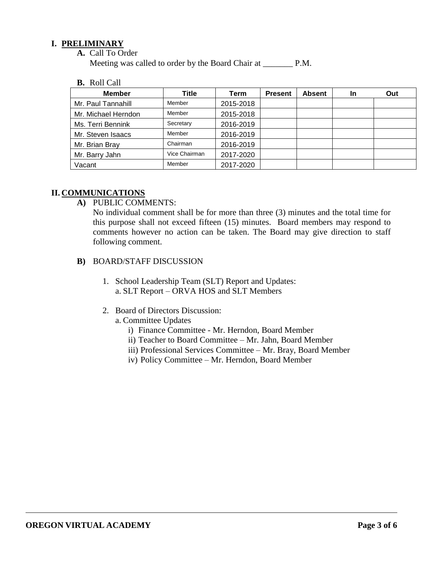#### **I. PRELIMINARY**

**A.** Call To Order

Meeting was called to order by the Board Chair at P.M.

**B.** Roll Call

| <b>Member</b>       | Title         | Term      | <b>Present</b> | <b>Absent</b> | <b>In</b> | Out |
|---------------------|---------------|-----------|----------------|---------------|-----------|-----|
| Mr. Paul Tannahill  | Member        | 2015-2018 |                |               |           |     |
| Mr. Michael Herndon | Member        | 2015-2018 |                |               |           |     |
| Ms. Terri Bennink   | Secretary     | 2016-2019 |                |               |           |     |
| Mr. Steven Isaacs   | Member        | 2016-2019 |                |               |           |     |
| Mr. Brian Bray      | Chairman      | 2016-2019 |                |               |           |     |
| Mr. Barry Jahn      | Vice Chairman | 2017-2020 |                |               |           |     |
| Vacant              | Member        | 2017-2020 |                |               |           |     |

# **II. COMMUNICATIONS**

**A)** PUBLIC COMMENTS:

No individual comment shall be for more than three (3) minutes and the total time for this purpose shall not exceed fifteen (15) minutes. Board members may respond to comments however no action can be taken. The Board may give direction to staff following comment.

- **B)** BOARD/STAFF DISCUSSION
	- 1. School Leadership Team (SLT) Report and Updates: a. SLT Report – ORVA HOS and SLT Members
	- 2. Board of Directors Discussion:
		- a. Committee Updates
			- i) Finance Committee Mr. Herndon, Board Member
			- ii) Teacher to Board Committee Mr. Jahn, Board Member
			- iii) Professional Services Committee Mr. Bray, Board Member
			- iv) Policy Committee Mr. Herndon, Board Member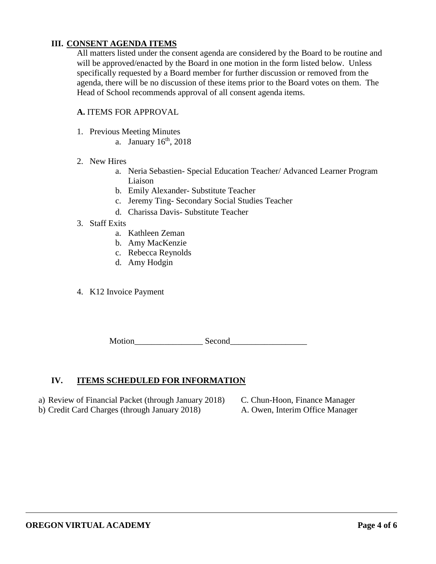## **III. CONSENT AGENDA ITEMS**

All matters listed under the consent agenda are considered by the Board to be routine and will be approved/enacted by the Board in one motion in the form listed below. Unless specifically requested by a Board member for further discussion or removed from the agenda, there will be no discussion of these items prior to the Board votes on them. The Head of School recommends approval of all consent agenda items.

#### **A.** ITEMS FOR APPROVAL

- 1. Previous Meeting Minutes
	- a. January  $16<sup>th</sup>$ , 2018
- 2. New Hires
	- a. Neria Sebastien- Special Education Teacher/ Advanced Learner Program Liaison
	- b. Emily Alexander- Substitute Teacher
	- c. Jeremy Ting- Secondary Social Studies Teacher
	- d. Charissa Davis- Substitute Teacher
- 3. Staff Exits
	- a. Kathleen Zeman
	- b. Amy MacKenzie
	- c. Rebecca Reynolds
	- d. Amy Hodgin
- 4. K12 Invoice Payment

Motion Second

#### **IV. ITEMS SCHEDULED FOR INFORMATION**

- a) Review of Financial Packet (through January 2018) C. Chun-Hoon, Finance Manager
- b) Credit Card Charges (through January 2018) A. Owen, Interim Office Manager
- -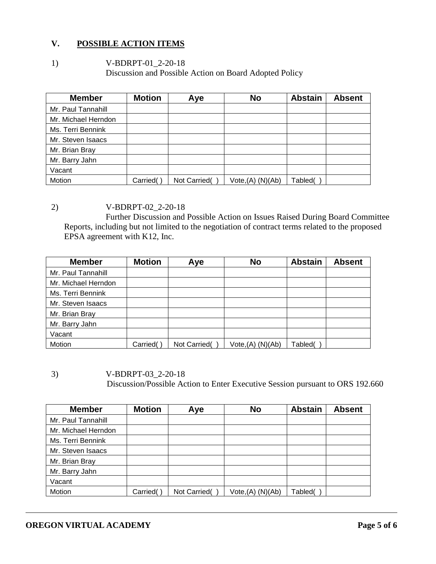## **V. POSSIBLE ACTION ITEMS**

1) V-BDRPT-01\_2-20-18 Discussion and Possible Action on Board Adopted Policy

| <b>Member</b>       | <b>Motion</b> | Aye          | <b>No</b>            | <b>Abstain</b> | <b>Absent</b> |
|---------------------|---------------|--------------|----------------------|----------------|---------------|
| Mr. Paul Tannahill  |               |              |                      |                |               |
| Mr. Michael Herndon |               |              |                      |                |               |
| Ms. Terri Bennink   |               |              |                      |                |               |
| Mr. Steven Isaacs   |               |              |                      |                |               |
| Mr. Brian Bray      |               |              |                      |                |               |
| Mr. Barry Jahn      |               |              |                      |                |               |
| Vacant              |               |              |                      |                |               |
| Motion              | Carried(      | Not Carried( | $Vote,(A)$ $(N)(Ab)$ | Tabled(        |               |

2) V-BDRPT-02\_2-20-18

Further Discussion and Possible Action on Issues Raised During Board Committee Reports, including but not limited to the negotiation of contract terms related to the proposed EPSA agreement with K12, Inc.

| <b>Member</b>       | <b>Motion</b> | Aye          | <b>No</b>            | <b>Abstain</b> | <b>Absent</b> |
|---------------------|---------------|--------------|----------------------|----------------|---------------|
| Mr. Paul Tannahill  |               |              |                      |                |               |
| Mr. Michael Herndon |               |              |                      |                |               |
| Ms. Terri Bennink   |               |              |                      |                |               |
| Mr. Steven Isaacs   |               |              |                      |                |               |
| Mr. Brian Bray      |               |              |                      |                |               |
| Mr. Barry Jahn      |               |              |                      |                |               |
| Vacant              |               |              |                      |                |               |
| Motion              | Carried(      | Not Carried( | $Vote,(A)$ $(N)(Ab)$ | Tabled(        |               |

3) V-BDRPT-03\_2-20-18 Discussion/Possible Action to Enter Executive Session pursuant to ORS 192.660

| <b>Member</b>       | <b>Motion</b> | Aye          | <b>No</b>            | <b>Abstain</b> | <b>Absent</b> |
|---------------------|---------------|--------------|----------------------|----------------|---------------|
| Mr. Paul Tannahill  |               |              |                      |                |               |
| Mr. Michael Herndon |               |              |                      |                |               |
| Ms. Terri Bennink   |               |              |                      |                |               |
| Mr. Steven Isaacs   |               |              |                      |                |               |
| Mr. Brian Bray      |               |              |                      |                |               |
| Mr. Barry Jahn      |               |              |                      |                |               |
| Vacant              |               |              |                      |                |               |
| Motion              | Carried(      | Not Carried( | $Vote,(A)$ $(N)(Ab)$ | Tabled(        |               |